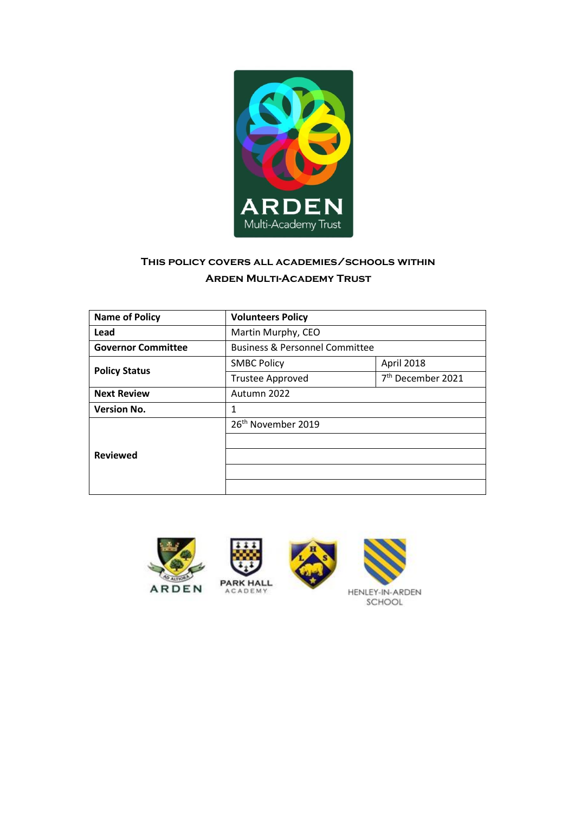

# **This policy covers all academies/schools within Arden Multi-Academy Trust**

| <b>Name of Policy</b>     | <b>Volunteers Policy</b>                  |                               |
|---------------------------|-------------------------------------------|-------------------------------|
| Lead                      | Martin Murphy, CEO                        |                               |
| <b>Governor Committee</b> | <b>Business &amp; Personnel Committee</b> |                               |
|                           | <b>SMBC Policy</b>                        | April 2018                    |
| <b>Policy Status</b>      | <b>Trustee Approved</b>                   | 7 <sup>th</sup> December 2021 |
| <b>Next Review</b>        | Autumn 2022                               |                               |
| <b>Version No.</b>        | 1                                         |                               |
|                           | 26 <sup>th</sup> November 2019            |                               |
|                           |                                           |                               |
| <b>Reviewed</b>           |                                           |                               |
|                           |                                           |                               |
|                           |                                           |                               |





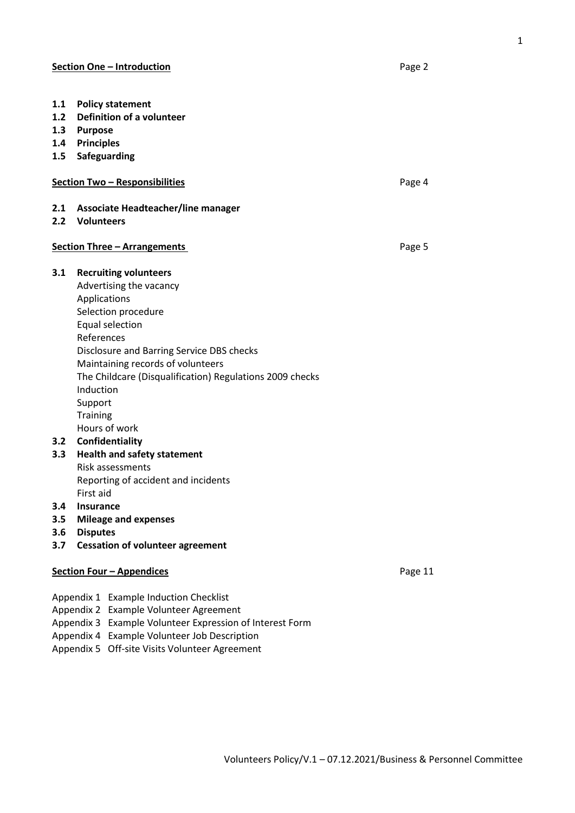- **1.1 Policy statement 1.2 Definition of a volunteer 1.3 Purpose 1.4 Principles 1.5 Safeguarding Section Two – Responsibilities Contract Contract Contract Contract Contract Contract Contract Contract Contract Contract Contract Contract Contract Contract Contract Contract Contract Contract Contract Contract Contract 2.1 Associate Headteacher/line manager 2.2 Volunteers Section Three – Arrangements Page 5 3.1 Recruiting volunteers**  Advertising the vacancy Applications Selection procedure Equal selection References Disclosure and Barring Service DBS checks Maintaining records of volunteers The Childcare (Disqualification) Regulations 2009 checks Induction Support **Training** Hours of work **3.2 Confidentiality 3.3 Health and safety statement**  Risk assessments
	- Reporting of accident and incidents First aid
- **3.4 Insurance**
- **3.5 Mileage and expenses**
- **3.6 Disputes**
- **3.7 Cessation of volunteer agreement**

# **Section Four – Appendices Example 20 and 20 and 20 and 20 and 20 and 20 and 20 and 20 and 20 and 20 and 20 and 20 and 20 and 20 and 20 and 20 and 20 and 20 and 20 and 20 and 20 and 20 and 20 and 20 and 20 and 20 and 20**

- Appendix 1 Example Induction Checklist
- Appendix 2 Example Volunteer Agreement
- Appendix 3 Example Volunteer Expression of Interest Form
- Appendix 4 Example Volunteer Job Description
- Appendix 5 Off-site Visits Volunteer Agreement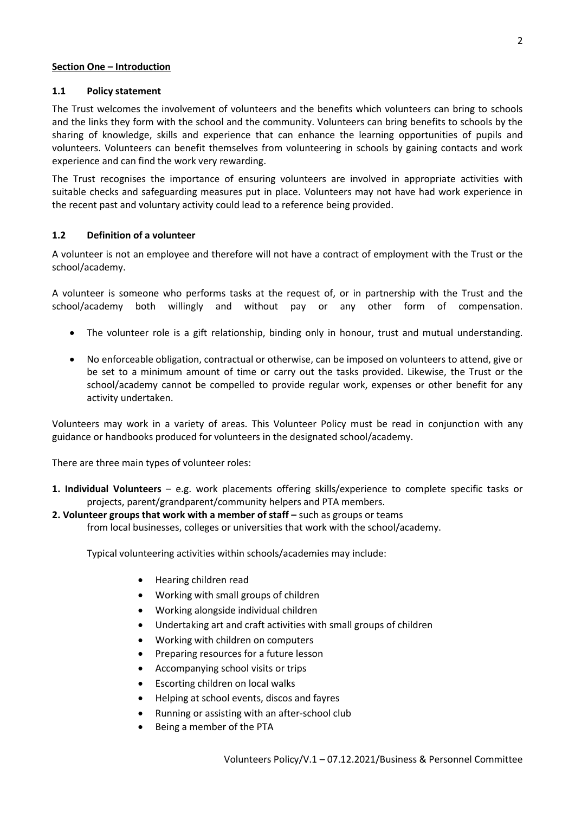#### **Section One – Introduction**

#### **1.1 Policy statement**

The Trust welcomes the involvement of volunteers and the benefits which volunteers can bring to schools and the links they form with the school and the community. Volunteers can bring benefits to schools by the sharing of knowledge, skills and experience that can enhance the learning opportunities of pupils and volunteers. Volunteers can benefit themselves from volunteering in schools by gaining contacts and work experience and can find the work very rewarding.

The Trust recognises the importance of ensuring volunteers are involved in appropriate activities with suitable checks and safeguarding measures put in place. Volunteers may not have had work experience in the recent past and voluntary activity could lead to a reference being provided.

## **1.2 Definition of a volunteer**

A volunteer is not an employee and therefore will not have a contract of employment with the Trust or the school/academy.

A volunteer is someone who performs tasks at the request of, or in partnership with the Trust and the school/academy both willingly and without pay or any other form of compensation.

- The volunteer role is a gift relationship, binding only in honour, trust and mutual understanding.
- No enforceable obligation, contractual or otherwise, can be imposed on volunteers to attend, give or be set to a minimum amount of time or carry out the tasks provided. Likewise, the Trust or the school/academy cannot be compelled to provide regular work, expenses or other benefit for any activity undertaken.

Volunteers may work in a variety of areas. This Volunteer Policy must be read in conjunction with any guidance or handbooks produced for volunteers in the designated school/academy.

There are three main types of volunteer roles:

**1. Individual Volunteers** – e.g. work placements offering skills/experience to complete specific tasks or projects, parent/grandparent/community helpers and PTA members.

#### **2. Volunteer groups that work with a member of staff –** such as groups or teams

from local businesses, colleges or universities that work with the school/academy.

Typical volunteering activities within schools/academies may include:

- Hearing children read
- Working with small groups of children
- Working alongside individual children
- Undertaking art and craft activities with small groups of children
- Working with children on computers
- Preparing resources for a future lesson
- Accompanying school visits or trips
- Escorting children on local walks
- Helping at school events, discos and fayres
- Running or assisting with an after-school club
- Being a member of the PTA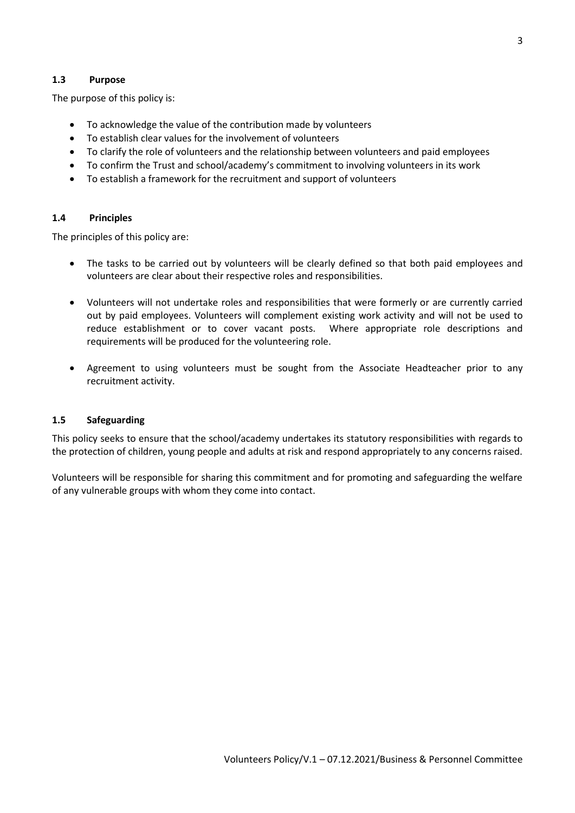## **1.3 Purpose**

The purpose of this policy is:

- To acknowledge the value of the contribution made by volunteers
- To establish clear values for the involvement of volunteers
- To clarify the role of volunteers and the relationship between volunteers and paid employees
- To confirm the Trust and school/academy's commitment to involving volunteers in its work
- To establish a framework for the recruitment and support of volunteers

#### **1.4 Principles**

The principles of this policy are:

- The tasks to be carried out by volunteers will be clearly defined so that both paid employees and volunteers are clear about their respective roles and responsibilities.
- Volunteers will not undertake roles and responsibilities that were formerly or are currently carried out by paid employees. Volunteers will complement existing work activity and will not be used to reduce establishment or to cover vacant posts. Where appropriate role descriptions and requirements will be produced for the volunteering role.
- Agreement to using volunteers must be sought from the Associate Headteacher prior to any recruitment activity.

#### **1.5 Safeguarding**

This policy seeks to ensure that the school/academy undertakes its statutory responsibilities with regards to the protection of children, young people and adults at risk and respond appropriately to any concerns raised.

Volunteers will be responsible for sharing this commitment and for promoting and safeguarding the welfare of any vulnerable groups with whom they come into contact.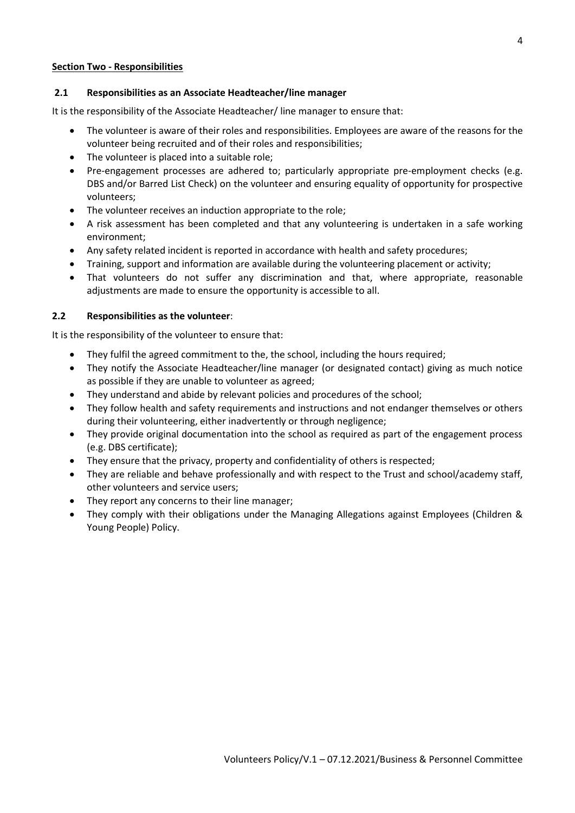#### **Section Two - Responsibilities**

## **2.1 Responsibilities as an Associate Headteacher/line manager**

It is the responsibility of the Associate Headteacher/ line manager to ensure that:

- The volunteer is aware of their roles and responsibilities. Employees are aware of the reasons for the volunteer being recruited and of their roles and responsibilities;
- The volunteer is placed into a suitable role;
- Pre-engagement processes are adhered to; particularly appropriate pre-employment checks (e.g. DBS and/or Barred List Check) on the volunteer and ensuring equality of opportunity for prospective volunteers;
- The volunteer receives an induction appropriate to the role;
- A risk assessment has been completed and that any volunteering is undertaken in a safe working environment;
- Any safety related incident is reported in accordance with health and safety procedures;
- Training, support and information are available during the volunteering placement or activity;
- That volunteers do not suffer any discrimination and that, where appropriate, reasonable adjustments are made to ensure the opportunity is accessible to all.

## **2.2 Responsibilities as the volunteer**:

It is the responsibility of the volunteer to ensure that:

- They fulfil the agreed commitment to the, the school, including the hours required;
- They notify the Associate Headteacher/line manager (or designated contact) giving as much notice as possible if they are unable to volunteer as agreed;
- They understand and abide by relevant policies and procedures of the school;
- They follow health and safety requirements and instructions and not endanger themselves or others during their volunteering, either inadvertently or through negligence;
- They provide original documentation into the school as required as part of the engagement process (e.g. DBS certificate);
- They ensure that the privacy, property and confidentiality of others is respected;
- They are reliable and behave professionally and with respect to the Trust and school/academy staff, other volunteers and service users;
- They report any concerns to their line manager;
- They comply with their obligations under the Managing Allegations against Employees (Children & Young People) Policy.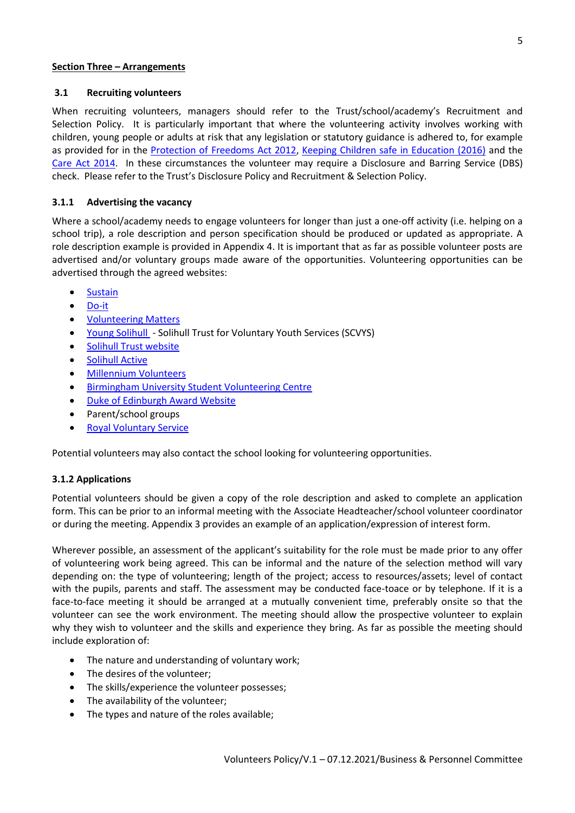Volunteers Policy/V.1 – 07.12.2021/Business & Personnel Committee

#### **Section Three – Arrangements**

#### **3.1 Recruiting volunteers**

When recruiting volunteers, managers should refer to the Trust/school/academy's Recruitment and Selection Policy. It is particularly important that where the volunteering activity involves working with children, young people or adults at risk that any legislation or statutory guidance is adhered to, for example as provided for in the Protection of [Freedoms Act 2012,](https://www.gov.uk/government/publications/protection-of-freedoms-bill) [Keeping Children safe in Education \(2016\)](https://www.gov.uk/government/publications/keeping-children-safe-in-education--2) and the [Care Act 2014.](https://www.gov.uk/government/publications/care-act-2014-part-1-factsheets/care-act-factsheets) In these circumstances the volunteer may require a Disclosure and Barring Service (DBS) check. Please refer to the Trust's Disclosure Policy and Recruitment & Selection Policy.

#### **3.1.1 Advertising the vacancy**

Where a school/academy needs to engage volunteers for longer than just a one-off activity (i.e. helping on a school trip), a role description and person specification should be produced or updated as appropriate. A role description example is provided in Appendix 4. It is important that as far as possible volunteer posts are advertised and/or voluntary groups made aware of the opportunities. Volunteering opportunities can be advertised through the agreed websites:

- [Sustain](http://solihull-sustain.org.uk/)
- [Do-it](https://do-it.org/)
- [Volunteering Matters](https://volunteeringmatters.org.uk/)
- [Young Solihull](http://www.youngsolihull.co.uk/)  Solihull Trust for Voluntary Youth Services (SCVYS)
- [Solihull Trust](http://www.solihull.gov.uk/Resident/jobs/Volunteering) website
- **•** [Solihull Active](http://www.solihullactive.co.uk/)
- [Millennium Volunteers](http://youngcitizens.volunteernow.co.uk/millennium-volunteers)
- [Birmingham University Student Volunteering Centre](http://www.birmingham.ac.uk/alumni/getinvolved/volunteering.aspx)
- [Duke of Edinburgh Award Website](http://www.dofe.org/)
- Parent/school groups
- [Royal Voluntary Service](http://www.royalvoluntaryservice.org.uk/)

Potential volunteers may also contact the school looking for volunteering opportunities.

## **3.1.2 Applications**

Potential volunteers should be given a copy of the role description and asked to complete an application form. This can be prior to an informal meeting with the Associate Headteacher/school volunteer coordinator or during the meeting. Appendix 3 provides an example of an application/expression of interest form.

Wherever possible, an assessment of the applicant's suitability for the role must be made prior to any offer of volunteering work being agreed. This can be informal and the nature of the selection method will vary depending on: the type of volunteering; length of the project; access to resources/assets; level of contact with the pupils, parents and staff. The assessment may be conducted face-toace or by telephone. If it is a face-to-face meeting it should be arranged at a mutually convenient time, preferably onsite so that the volunteer can see the work environment. The meeting should allow the prospective volunteer to explain why they wish to volunteer and the skills and experience they bring. As far as possible the meeting should include exploration of:

- The nature and understanding of voluntary work;
- The desires of the volunteer:
- The skills/experience the volunteer possesses;
- The availability of the volunteer;
- The types and nature of the roles available: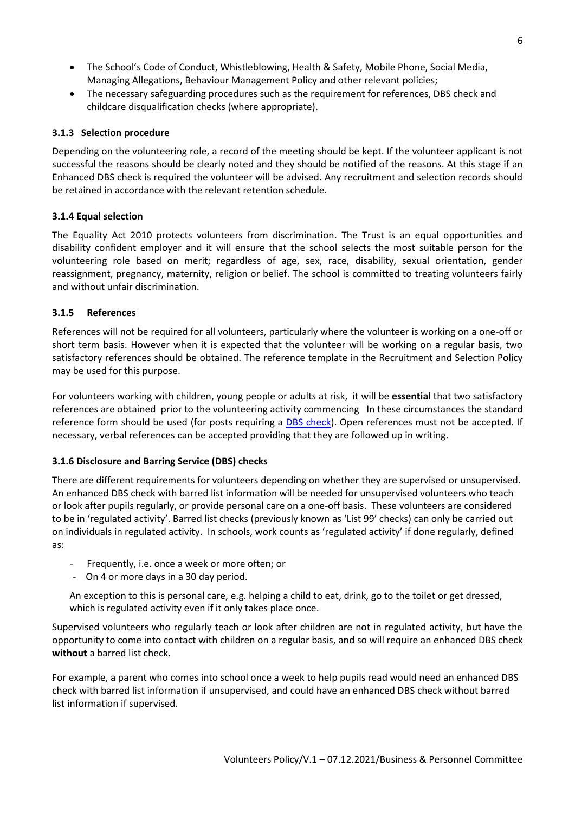- The School's Code of Conduct, Whistleblowing, Health & Safety, Mobile Phone, Social Media, Managing Allegations, Behaviour Management Policy and other relevant policies;
- The necessary safeguarding procedures such as the requirement for references, DBS check and childcare disqualification checks (where appropriate).

## **3.1.3 Selection procedure**

Depending on the volunteering role, a record of the meeting should be kept. If the volunteer applicant is not successful the reasons should be clearly noted and they should be notified of the reasons. At this stage if an Enhanced DBS check is required the volunteer will be advised. Any recruitment and selection records should be retained in accordance with the relevant retention schedule.

# **3.1.4 Equal selection**

The Equality Act 2010 protects volunteers from discrimination. The Trust is an equal opportunities and disability confident employer and it will ensure that the school selects the most suitable person for the volunteering role based on merit; regardless of age, sex, race, disability, sexual orientation, gender reassignment, pregnancy, maternity, religion or belief. The school is committed to treating volunteers fairly and without unfair discrimination.

# **3.1.5 References**

References will not be required for all volunteers, particularly where the volunteer is working on a one-off or short term basis. However when it is expected that the volunteer will be working on a regular basis, two satisfactory references should be obtained. The reference template in the Recruitment and Selection Policy may be used for this purpose.

For volunteers working with children, young people or adults at risk, it will be **essential** that two satisfactory references are obtained prior to the volunteering activity commencing In these circumstances the standard reference form should be used (for posts requiring a [DBS check\)](https://extranet.solgrid.org.uk/management/staffing/smbcschoolshr/SitePages/DBS.aspx). Open references must not be accepted. If necessary, verbal references can be accepted providing that they are followed up in writing.

## **3.1.6 Disclosure and Barring Service (DBS) checks**

There are different requirements for volunteers depending on whether they are supervised or unsupervised. An enhanced DBS check with barred list information will be needed for unsupervised volunteers who teach or look after pupils regularly, or provide personal care on a one-off basis. These volunteers are considered to be in 'regulated activity'. Barred list checks (previously known as 'List 99' checks) can only be carried out on individuals in regulated activity. In schools, work counts as 'regulated activity' if done regularly, defined as:

- Frequently, i.e. once a week or more often; or
- On 4 or more days in a 30 day period.

An exception to this is personal care, e.g. helping a child to eat, drink, go to the toilet or get dressed, which is regulated activity even if it only takes place once.

Supervised volunteers who regularly teach or look after children are not in regulated activity, but have the opportunity to come into contact with children on a regular basis, and so will require an enhanced DBS check **without** a barred list check.

For example, a parent who comes into school once a week to help pupils read would need an enhanced DBS check with barred list information if unsupervised, and could have an enhanced DBS check without barred list information if supervised.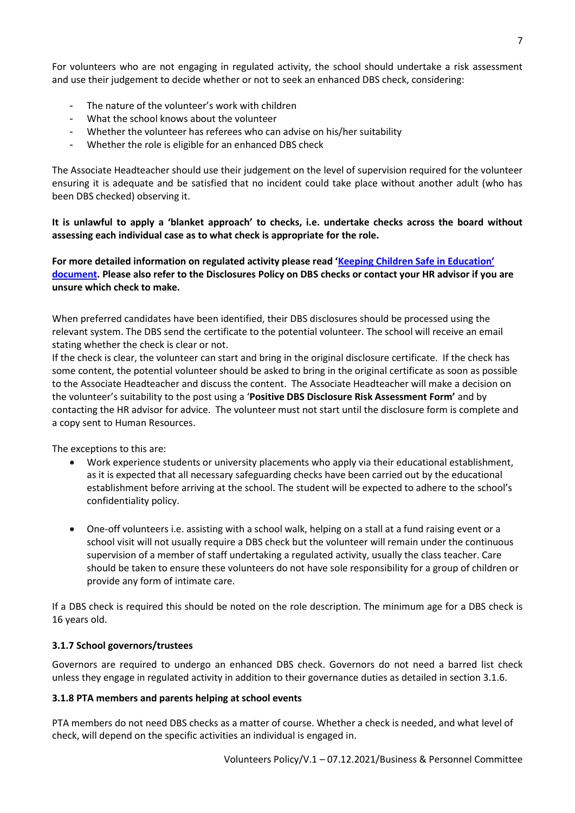For volunteers who are not engaging in regulated activity, the school should undertake a risk assessment and use their judgement to decide whether or not to seek an enhanced DBS check, considering:

- The nature of the volunteer's work with children
- What the school knows about the volunteer
- Whether the volunteer has referees who can advise on his/her suitability
- Whether the role is eligible for an enhanced DBS check

The Associate Headteacher should use their judgement on the level of supervision required for the volunteer ensuring it is adequate and be satisfied that no incident could take place without another adult (who has been DBS checked) observing it.

**It is unlawful to apply a 'blanket approach' to checks, i.e. undertake checks across the board without assessing each individual case as to what check is appropriate for the role.** 

**For more detailed information on regulated activity please read '[Keeping Children Safe in Education](https://www.gov.uk/government/publications/keeping-children-safe-in-education--2)' [document.](https://www.gov.uk/government/publications/keeping-children-safe-in-education--2) Please also refer to the Disclosures Policy on DBS checks or contact your HR advisor if you are unsure which check to make.** 

When preferred candidates have been identified, their DBS disclosures should be processed using the relevant system. The DBS send the certificate to the potential volunteer. The school will receive an email stating whether the check is clear or not.

If the check is clear, the volunteer can start and bring in the original disclosure certificate. If the check has some content, the potential volunteer should be asked to bring in the original certificate as soon as possible to the Associate Headteacher and discuss the content. The Associate Headteacher will make a decision on the volunteer's suitability to the post using a '**Positive DBS Disclosure Risk Assessment Form'** and by contacting the HR advisor for advice. The volunteer must not start until the disclosure form is complete and a copy sent to Human Resources.

The exceptions to this are:

- Work experience students or university placements who apply via their educational establishment, as it is expected that all necessary safeguarding checks have been carried out by the educational establishment before arriving at the school. The student will be expected to adhere to the school's confidentiality policy.
- One-off volunteers i.e. assisting with a school walk, helping on a stall at a fund raising event or a school visit will not usually require a DBS check but the volunteer will remain under the continuous supervision of a member of staff undertaking a regulated activity, usually the class teacher. Care should be taken to ensure these volunteers do not have sole responsibility for a group of children or provide any form of intimate care.

If a DBS check is required this should be noted on the role description. The minimum age for a DBS check is 16 years old.

## **3.1.7 School governors/trustees**

Governors are required to undergo an enhanced DBS check. Governors do not need a barred list check unless they engage in regulated activity in addition to their governance duties as detailed in section 3.1.6.

## **3.1.8 PTA members and parents helping at school events**

PTA members do not need DBS checks as a matter of course. Whether a check is needed, and what level of check, will depend on the specific activities an individual is engaged in.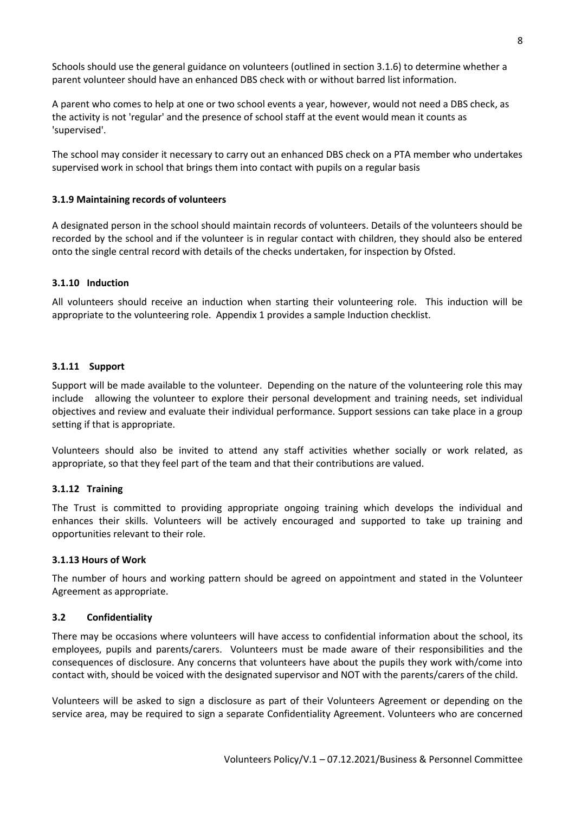Schools should use the general guidance on volunteers (outlined in section 3.1.6) to determine whether a parent volunteer should have an enhanced DBS check with or without barred list information.

A parent who comes to help at one or two school events a year, however, would not need a DBS check, as the activity is not 'regular' and the presence of school staff at the event would mean it counts as 'supervised'.

The school may consider it necessary to carry out an enhanced DBS check on a PTA member who undertakes supervised work in school that brings them into contact with pupils on a regular basis

#### **3.1.9 Maintaining records of volunteers**

A designated person in the school should maintain records of volunteers. Details of the volunteers should be recorded by the school and if the volunteer is in regular contact with children, they should also be entered onto the single central record with details of the checks undertaken, for inspection by Ofsted.

#### **3.1.10 Induction**

All volunteers should receive an induction when starting their volunteering role. This induction will be appropriate to the volunteering role. Appendix 1 provides a sample Induction checklist.

#### **3.1.11 Support**

Support will be made available to the volunteer. Depending on the nature of the volunteering role this may include allowing the volunteer to explore their personal development and training needs, set individual objectives and review and evaluate their individual performance. Support sessions can take place in a group setting if that is appropriate.

Volunteers should also be invited to attend any staff activities whether socially or work related, as appropriate, so that they feel part of the team and that their contributions are valued.

#### **3.1.12 Training**

The Trust is committed to providing appropriate ongoing training which develops the individual and enhances their skills. Volunteers will be actively encouraged and supported to take up training and opportunities relevant to their role.

#### **3.1.13 Hours of Work**

The number of hours and working pattern should be agreed on appointment and stated in the Volunteer Agreement as appropriate.

#### **3.2 Confidentiality**

There may be occasions where volunteers will have access to confidential information about the school, its employees, pupils and parents/carers. Volunteers must be made aware of their responsibilities and the consequences of disclosure. Any concerns that volunteers have about the pupils they work with/come into contact with, should be voiced with the designated supervisor and NOT with the parents/carers of the child.

Volunteers will be asked to sign a disclosure as part of their Volunteers Agreement or depending on the service area, may be required to sign a separate Confidentiality Agreement. Volunteers who are concerned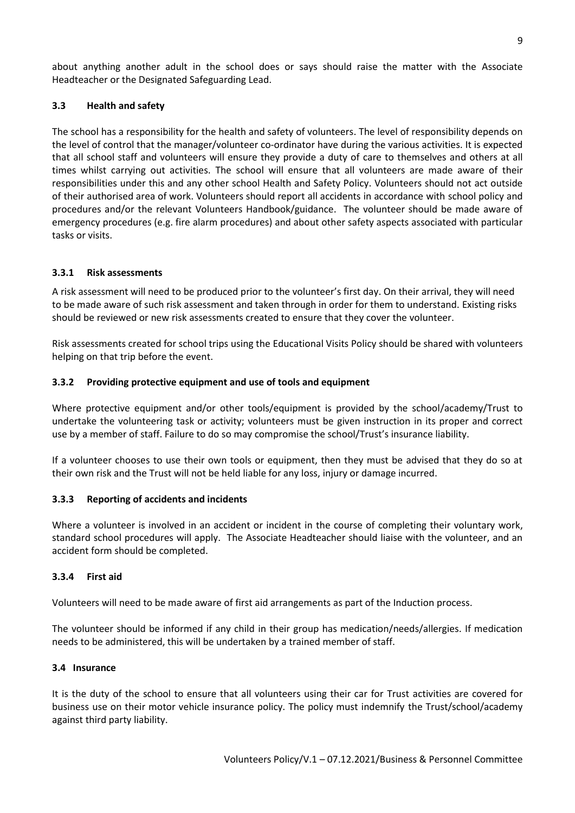about anything another adult in the school does or says should raise the matter with the Associate Headteacher or the Designated Safeguarding Lead.

# **3.3 Health and safety**

The school has a responsibility for the health and safety of volunteers. The level of responsibility depends on the level of control that the manager/volunteer co-ordinator have during the various activities. It is expected that all school staff and volunteers will ensure they provide a duty of care to themselves and others at all times whilst carrying out activities. The school will ensure that all volunteers are made aware of their responsibilities under this and any other school Health and Safety Policy. Volunteers should not act outside of their authorised area of work. Volunteers should report all accidents in accordance with school policy and procedures and/or the relevant Volunteers Handbook/guidance. The volunteer should be made aware of emergency procedures (e.g. fire alarm procedures) and about other safety aspects associated with particular tasks or visits.

# **3.3.1 Risk assessments**

A risk assessment will need to be produced prior to the volunteer's first day. On their arrival, they will need to be made aware of such risk assessment and taken through in order for them to understand. Existing risks should be reviewed or new risk assessments created to ensure that they cover the volunteer.

Risk assessments created for school trips using th[e Educational Visits Policy](https://extranet.solgrid.org.uk/management/hsr/EducationalVisits/EVC%20Policy%20SMBC%202016%20-%20revised%201%204.docx) should be shared with volunteers helping on that trip before the event.

# **3.3.2 Providing protective equipment and use of tools and equipment**

Where protective equipment and/or other tools/equipment is provided by the school/academy/Trust to undertake the volunteering task or activity; volunteers must be given instruction in its proper and correct use by a member of staff. Failure to do so may compromise the school/Trust's insurance liability.

If a volunteer chooses to use their own tools or equipment, then they must be advised that they do so at their own risk and the Trust will not be held liable for any loss, injury or damage incurred.

## **3.3.3 Reporting of accidents and incidents**

Where a volunteer is involved in an accident or incident in the course of completing their voluntary work, standard school procedures will apply. The Associate Headteacher should liaise with the volunteer, and an accident form should be completed.

## **3.3.4 First aid**

Volunteers will need to be made aware of first aid arrangements as part of the Induction process.

The volunteer should be informed if any child in their group has medication/needs/allergies. If medication needs to be administered, this will be undertaken by a trained member of staff.

## **3.4 Insurance**

It is the duty of the school to ensure that all volunteers using their car for Trust activities are covered for business use on their motor vehicle insurance policy. The policy must indemnify the Trust/school/academy against third party liability.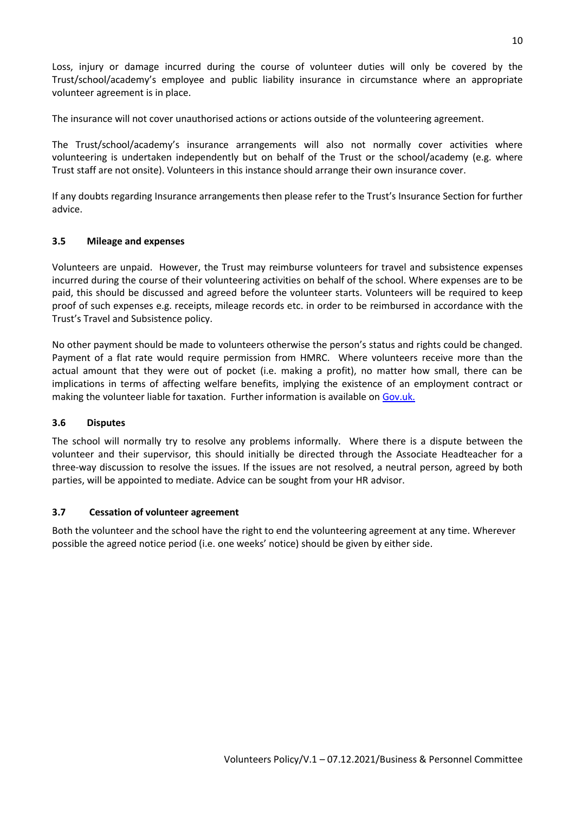Loss, injury or damage incurred during the course of volunteer duties will only be covered by the Trust/school/academy's employee and public liability insurance in circumstance where an appropriate volunteer agreement is in place.

The insurance will not cover unauthorised actions or actions outside of the volunteering agreement.

The Trust/school/academy's insurance arrangements will also not normally cover activities where volunteering is undertaken independently but on behalf of the Trust or the school/academy (e.g. where Trust staff are not onsite). Volunteers in this instance should arrange their own insurance cover.

If any doubts regarding Insurance arrangements then please refer to the Trust's Insurance Section for further advice.

# **3.5 Mileage and expenses**

Volunteers are unpaid. However, the Trust may reimburse volunteers for travel and subsistence expenses incurred during the course of their volunteering activities on behalf of the school. Where expenses are to be paid, this should be discussed and agreed before the volunteer starts. Volunteers will be required to keep proof of such expenses e.g. receipts, mileage records etc. in order to be reimbursed in accordance with the Trust's [Travel and Subsistence policy.](https://extranet.solgrid.org.uk/management/staffing/smbcschoolshr/HRDocuments/SMBCTravelandSubsistencePolicyGuidance%20v1%202017.doc)

No other payment should be made to volunteers otherwise the person's status and rights could be changed. Payment of a flat rate would require permission from HMRC. Where volunteers receive more than the actual amount that they were out of pocket (i.e. making a profit), no matter how small, there can be implications in terms of affecting welfare benefits, implying the existence of an employment contract or making the volunteer liable for taxation. Further information is available on [Gov.uk.](http://www.gov.uk/)

## **3.6 Disputes**

The school will normally try to resolve any problems informally. Where there is a dispute between the volunteer and their supervisor, this should initially be directed through the Associate Headteacher for a three-way discussion to resolve the issues. If the issues are not resolved, a neutral person, agreed by both parties, will be appointed to mediate. Advice can be sought from your HR advisor.

## **3.7 Cessation of volunteer agreement**

Both the volunteer and the school have the right to end the volunteering agreement at any time. Wherever possible the agreed notice period (i.e. one weeks' notice) should be given by either side.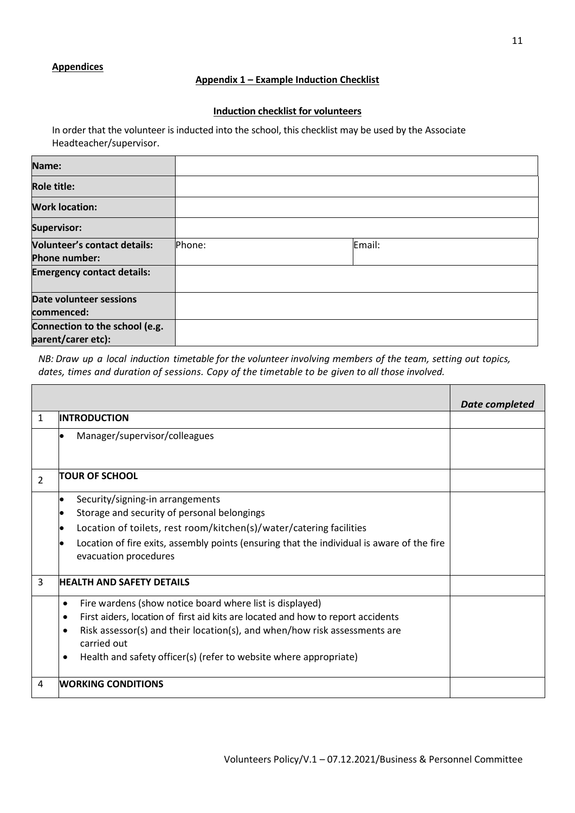## **Appendices**

Г

## **Appendix 1 – Example Induction Checklist**

## **Induction checklist for volunteers**

In order that the volunteer is inducted into the school, this checklist may be used by the Associate Headteacher/supervisor.

| Name:                                                       |        |        |  |
|-------------------------------------------------------------|--------|--------|--|
| <b>Role title:</b>                                          |        |        |  |
| <b>Work location:</b>                                       |        |        |  |
| <b>Supervisor:</b>                                          |        |        |  |
| <b>Volunteer's contact details:</b><br><b>Phone number:</b> | Phone: | Email: |  |
| <b>Emergency contact details:</b>                           |        |        |  |
| Date volunteer sessions<br>commenced:                       |        |        |  |
| Connection to the school (e.g.<br>parent/carer etc):        |        |        |  |

*NB: Draw up a local induction timetable for the volunteer involving members of the team, setting out topics, dates, times and duration of sessions. Copy of the timetable to be given to all those involved.*

|                |                                                                                                                                                                                                                                                                                                                            | <b>Date completed</b> |
|----------------|----------------------------------------------------------------------------------------------------------------------------------------------------------------------------------------------------------------------------------------------------------------------------------------------------------------------------|-----------------------|
| $\mathbf{1}$   | <b>INTRODUCTION</b>                                                                                                                                                                                                                                                                                                        |                       |
|                | Manager/supervisor/colleagues                                                                                                                                                                                                                                                                                              |                       |
| $\overline{2}$ | <b>TOUR OF SCHOOL</b>                                                                                                                                                                                                                                                                                                      |                       |
|                | Security/signing-in arrangements<br>Storage and security of personal belongings<br>Location of toilets, rest room/kitchen(s)/water/catering facilities<br>Location of fire exits, assembly points (ensuring that the individual is aware of the fire<br>evacuation procedures                                              |                       |
| 3              | <b>HEALTH AND SAFETY DETAILS</b>                                                                                                                                                                                                                                                                                           |                       |
|                | Fire wardens (show notice board where list is displayed)<br>$\bullet$<br>First aiders, location of first aid kits are located and how to report accidents<br>Risk assessor(s) and their location(s), and when/how risk assessments are<br>carried out<br>Health and safety officer(s) (refer to website where appropriate) |                       |
| 4              | <b>WORKING CONDITIONS</b>                                                                                                                                                                                                                                                                                                  |                       |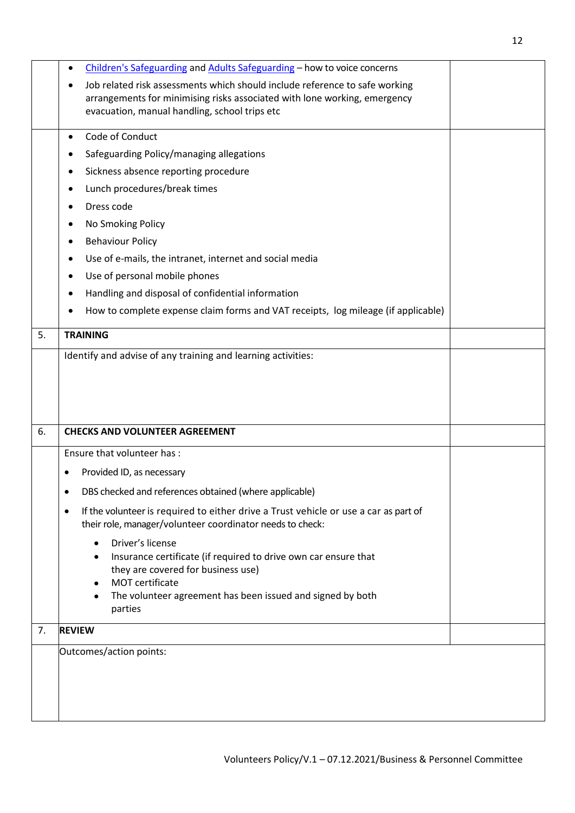|    | Children's Safeguarding and Adults Safeguarding - how to voice concerns<br>$\bullet$              |  |
|----|---------------------------------------------------------------------------------------------------|--|
|    | Job related risk assessments which should include reference to safe working                       |  |
|    | arrangements for minimising risks associated with lone working, emergency                         |  |
|    | evacuation, manual handling, school trips etc                                                     |  |
|    | Code of Conduct<br>$\bullet$                                                                      |  |
|    | Safeguarding Policy/managing allegations                                                          |  |
|    | Sickness absence reporting procedure                                                              |  |
|    | Lunch procedures/break times                                                                      |  |
|    | Dress code                                                                                        |  |
|    | No Smoking Policy                                                                                 |  |
|    | <b>Behaviour Policy</b>                                                                           |  |
|    | Use of e-mails, the intranet, internet and social media                                           |  |
|    | Use of personal mobile phones                                                                     |  |
|    | Handling and disposal of confidential information                                                 |  |
|    | How to complete expense claim forms and VAT receipts, log mileage (if applicable)                 |  |
| 5. | <b>TRAINING</b>                                                                                   |  |
|    | Identify and advise of any training and learning activities:                                      |  |
|    |                                                                                                   |  |
|    |                                                                                                   |  |
|    |                                                                                                   |  |
|    |                                                                                                   |  |
| 6. | <b>CHECKS AND VOLUNTEER AGREEMENT</b>                                                             |  |
|    | Ensure that volunteer has :                                                                       |  |
|    | Provided ID, as necessary                                                                         |  |
|    | DBS checked and references obtained (where applicable)                                            |  |
|    | If the volunteer is required to either drive a Trust vehicle or use a car as part of<br>$\bullet$ |  |
|    | their role, manager/volunteer coordinator needs to check:                                         |  |
|    | Driver's license<br>$\bullet$                                                                     |  |
|    | Insurance certificate (if required to drive own car ensure that                                   |  |
|    | they are covered for business use)<br>MOT certificate<br>$\bullet$                                |  |
|    | The volunteer agreement has been issued and signed by both<br>$\bullet$                           |  |
|    | parties                                                                                           |  |
| 7. | <b>REVIEW</b>                                                                                     |  |
|    | Outcomes/action points:                                                                           |  |
|    |                                                                                                   |  |
|    |                                                                                                   |  |
|    |                                                                                                   |  |
|    |                                                                                                   |  |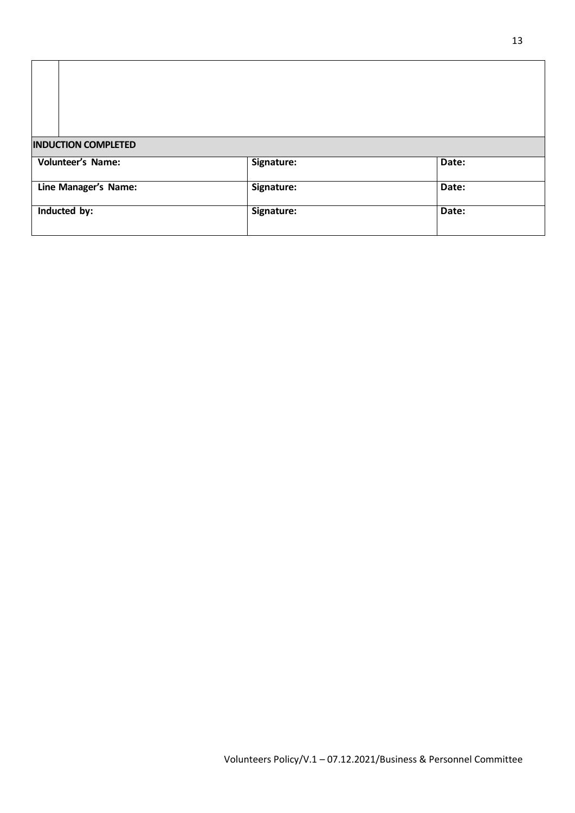|                                                                                | Signature: | Date: |
|--------------------------------------------------------------------------------|------------|-------|
| <b>INDUCTION COMPLETED</b><br><b>Volunteer's Name:</b><br>Line Manager's Name: | Signature: | Date: |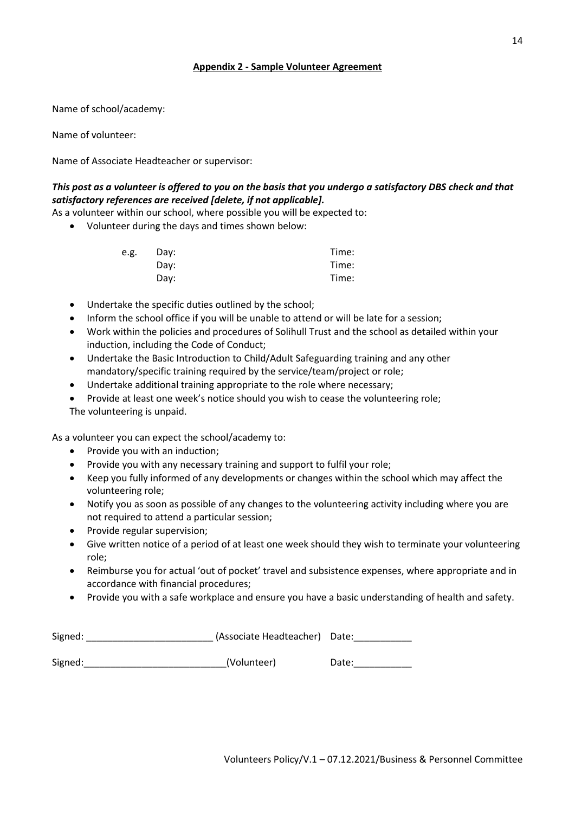# **Appendix 2 - Sample Volunteer Agreement**

Name of school/academy:

Name of volunteer:

Name of Associate Headteacher or supervisor:

# *This post as a volunteer is offered to you on the basis that you undergo a satisfactory DBS check and that satisfactory references are received [delete, if not applicable].*

As a volunteer within our school, where possible you will be expected to:

Volunteer during the days and times shown below:

| e.g. | Day: | Time: |
|------|------|-------|
|      | Day: | Time: |
|      | Day: | Time: |

- Undertake the specific duties outlined by the school;
- Inform the school office if you will be unable to attend or will be late for a session;
- Work within the policies and procedures of Solihull Trust and the school as detailed within your induction, including the Code of Conduct;
- Undertake the Basic Introduction to Child/Adult Safeguarding training and any other mandatory/specific training required by the service/team/project or role;
- Undertake additional training appropriate to the role where necessary;
- Provide at least one week's notice should you wish to cease the volunteering role; The volunteering is unpaid.

As a volunteer you can expect the school/academy to:

- $\bullet$  Provide you with an induction;
- Provide you with any necessary training and support to fulfil your role;
- Keep you fully informed of any developments or changes within the school which may affect the volunteering role;
- Notify you as soon as possible of any changes to the volunteering activity including where you are not required to attend a particular session;
- Provide regular supervision;
- Give written notice of a period of at least one week should they wish to terminate your volunteering role;
- Reimburse you for actual 'out of pocket' travel and subsistence expenses, where appropriate and in accordance with financial procedures;
- Provide you with a safe workplace and ensure you have a basic understanding of health and safety.

| Signed: | (Associate Headteacher) Date: |       |
|---------|-------------------------------|-------|
| Signed: | (Volunteer)                   | Date: |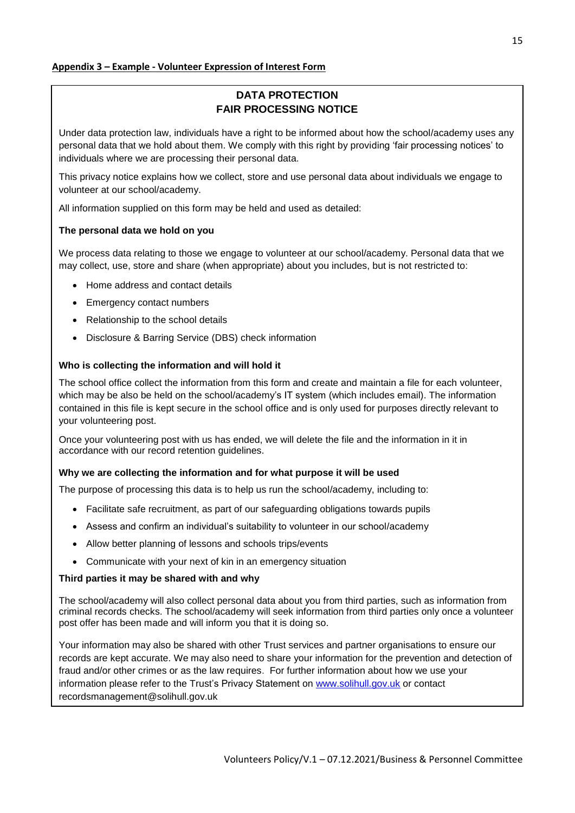# **DATA PROTECTION FAIR PROCESSING NOTICE**

Under data protection law, individuals have a right to be informed about how the school/academy uses any personal data that we hold about them. We comply with this right by providing 'fair processing notices' to individuals where we are processing their personal data.

This privacy notice explains how we collect, store and use personal data about individuals we engage to volunteer at our school/academy.

All information supplied on this form may be held and used as detailed:

## **The personal data we hold on you**

We process data relating to those we engage to volunteer at our school/academy. Personal data that we may collect, use, store and share (when appropriate) about you includes, but is not restricted to:

- Home address and contact details
- Emergency contact numbers
- Relationship to the school details
- Disclosure & Barring Service (DBS) check information

#### **Who is collecting the information and will hold it**

The school office collect the information from this form and create and maintain a file for each volunteer, which may be also be held on the school/academy's IT system (which includes email). The information contained in this file is kept secure in the school office and is only used for purposes directly relevant to your volunteering post.

Once your volunteering post with us has ended, we will delete the file and the information in it in accordance with our record retention guidelines.

#### **Why we are collecting the information and for what purpose it will be used**

The purpose of processing this data is to help us run the school/academy, including to:

- Facilitate safe recruitment, as part of our safeguarding obligations towards pupils
- Assess and confirm an individual's suitability to volunteer in our school/academy
- Allow better planning of lessons and schools trips/events
- Communicate with your next of kin in an emergency situation

#### **Third parties it may be shared with and why**

The school/academy will also collect personal data about you from third parties, such as information from criminal records checks. The school/academy will seek information from third parties only once a volunteer post offer has been made and will inform you that it is doing so.

Your information may also be shared with other Trust services and partner organisations to ensure our records are kept accurate. We may also need to share your information for the prevention and detection of fraud and/or other crimes or as the law requires. For further information about how we use your information please refer to the Trust's Privacy Statement on [www.solihull.gov.uk](http://www.solihull.gov.uk/) or contact recordsmanagement@solihull.gov.uk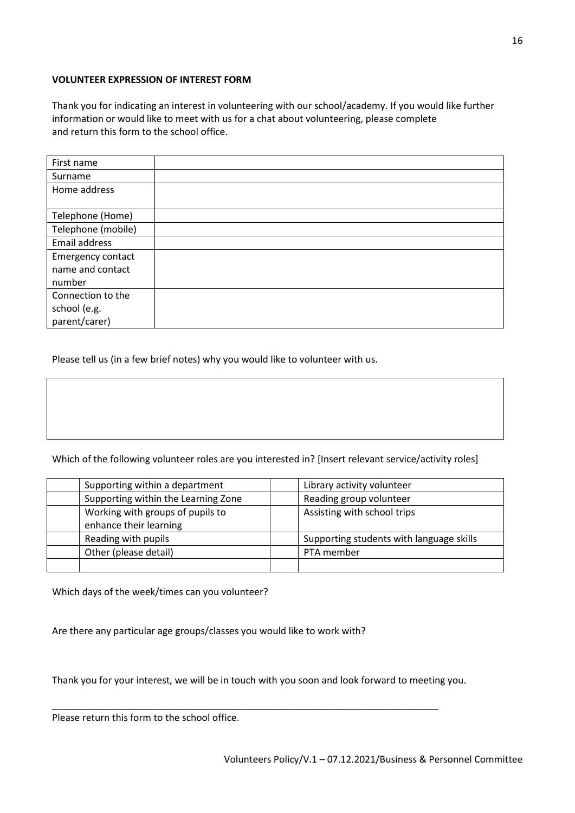# **VOLUNTEER EXPRESSION OF INTEREST FORM**

Thank you for indicating an interest in volunteering with our school/academy. If you would like further information or would like to meet with us for a chat about volunteering, please complete and return this form to the school office.

| First name         |  |
|--------------------|--|
| Surname            |  |
| Home address       |  |
|                    |  |
| Telephone (Home)   |  |
| Telephone (mobile) |  |
| Email address      |  |
| Emergency contact  |  |
| name and contact   |  |
| number             |  |
| Connection to the  |  |
| school (e.g.       |  |
| parent/carer)      |  |

Please tell us (in a few brief notes) why you would like to volunteer with us.

Which of the following volunteer roles are you interested in? [Insert relevant service/activity roles]

| Supporting within a department      | Library activity volunteer               |
|-------------------------------------|------------------------------------------|
| Supporting within the Learning Zone | Reading group volunteer                  |
| Working with groups of pupils to    | Assisting with school trips              |
| enhance their learning              |                                          |
| Reading with pupils                 | Supporting students with language skills |
| Other (please detail)               | PTA member                               |
|                                     |                                          |

Which days of the week/times can you volunteer?

Are there any particular age groups/classes you would like to work with?

Thank you for your interest, we will be in touch with you soon and look forward to meeting you.

\_\_\_\_\_\_\_\_\_\_\_\_\_\_\_\_\_\_\_\_\_\_\_\_\_\_\_\_\_\_\_\_\_\_\_\_\_\_\_\_\_\_\_\_\_\_\_\_\_\_\_\_\_\_\_\_\_\_\_\_\_\_\_\_\_\_\_\_\_\_\_\_\_

Please return this form to the school office.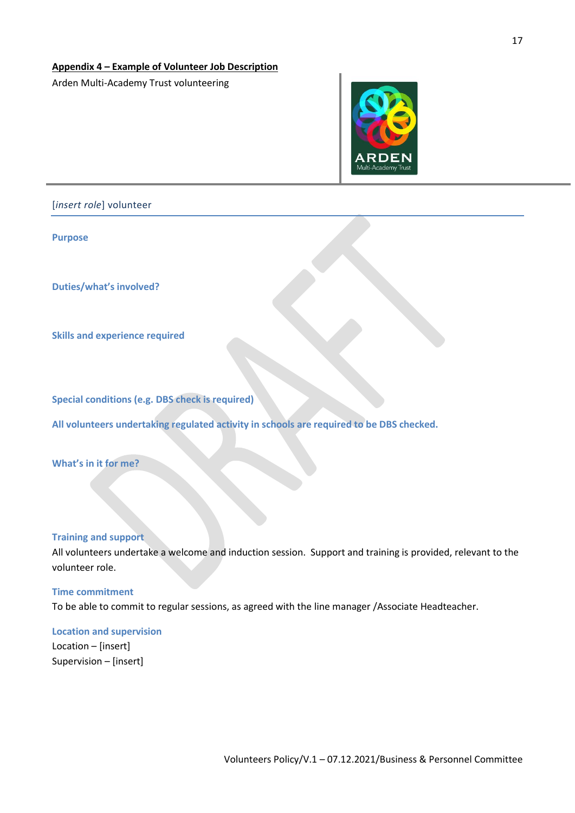#### **Appendix 4 – Example of Volunteer Job Description**

Arden Multi-Academy Trust volunteering



[*insert role*] volunteer

**Purpose**

**Duties/what's involved?**

**Skills and experience required**

**Special conditions (e.g. DBS check is required)**

**All volunteers undertaking regulated activity in schools are required to be DBS checked.**

**What's in it for me?**

#### **Training and support**

All volunteers undertake a welcome and induction session. Support and training is provided, relevant to the volunteer role.

#### **Time commitment**

To be able to commit to regular sessions, as agreed with the line manager /Associate Headteacher.

# **Location and supervision**

Location – [insert] Supervision – [insert]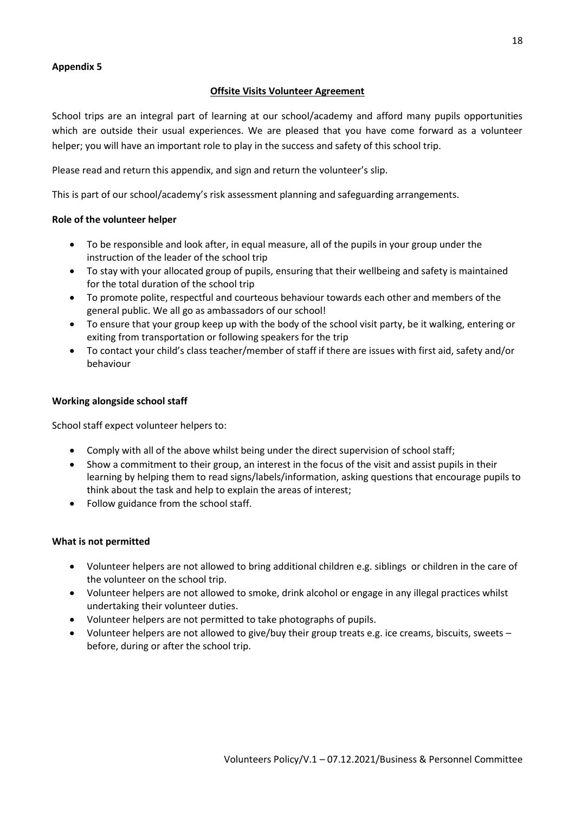# **Appendix 5**

# **Offsite Visits Volunteer Agreement**

School trips are an integral part of learning at our school/academy and afford many pupils opportunities which are outside their usual experiences. We are pleased that you have come forward as a volunteer helper; you will have an important role to play in the success and safety of this school trip.

Please read and return this appendix, and sign and return the volunteer's slip.

This is part of our school/academy's risk assessment planning and safeguarding arrangements.

# **Role of the volunteer helper**

- To be responsible and look after, in equal measure, all of the pupils in your group under the instruction of the leader of the school trip
- To stay with your allocated group of pupils, ensuring that their wellbeing and safety is maintained for the total duration of the school trip
- To promote polite, respectful and courteous behaviour towards each other and members of the general public. We all go as ambassadors of our school!
- To ensure that your group keep up with the body of the school visit party, be it walking, entering or exiting from transportation or following speakers for the trip
- To contact your child's class teacher/member of staff if there are issues with first aid, safety and/or behaviour

## **Working alongside school staff**

School staff expect volunteer helpers to:

- Comply with all of the above whilst being under the direct supervision of school staff;
- Show a commitment to their group, an interest in the focus of the visit and assist pupils in their learning by helping them to read signs/labels/information, asking questions that encourage pupils to think about the task and help to explain the areas of interest;
- Follow guidance from the school staff.

# **What is not permitted**

- Volunteer helpers are not allowed to bring additional children e.g. siblings or children in the care of the volunteer on the school trip.
- Volunteer helpers are not allowed to smoke, drink alcohol or engage in any illegal practices whilst undertaking their volunteer duties.
- Volunteer helpers are not permitted to take photographs of pupils.
- Volunteer helpers are not allowed to give/buy their group treats e.g. ice creams, biscuits, sweets before, during or after the school trip.